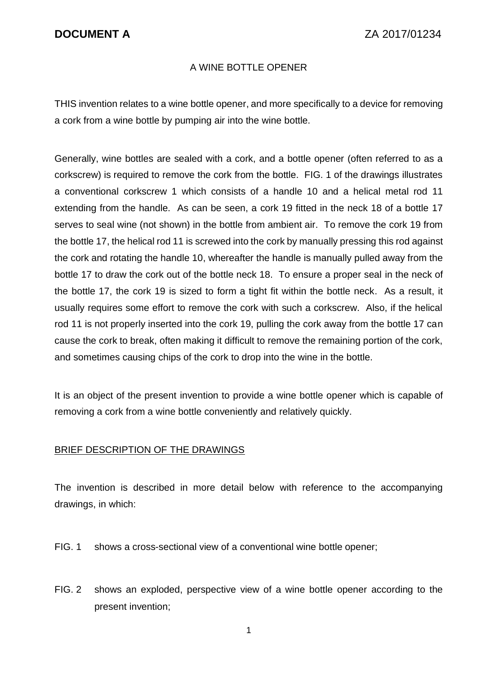## A WINE BOTTLE OPENER

THIS invention relates to a wine bottle opener, and more specifically to a device for removing a cork from a wine bottle by pumping air into the wine bottle.

Generally, wine bottles are sealed with a cork, and a bottle opener (often referred to as a corkscrew) is required to remove the cork from the bottle. FIG. 1 of the drawings illustrates a conventional corkscrew 1 which consists of a handle 10 and a helical metal rod 11 extending from the handle. As can be seen, a cork 19 fitted in the neck 18 of a bottle 17 serves to seal wine (not shown) in the bottle from ambient air. To remove the cork 19 from the bottle 17, the helical rod 11 is screwed into the cork by manually pressing this rod against the cork and rotating the handle 10, whereafter the handle is manually pulled away from the bottle 17 to draw the cork out of the bottle neck 18. To ensure a proper seal in the neck of the bottle 17, the cork 19 is sized to form a tight fit within the bottle neck. As a result, it usually requires some effort to remove the cork with such a corkscrew. Also, if the helical rod 11 is not properly inserted into the cork 19, pulling the cork away from the bottle 17 can cause the cork to break, often making it difficult to remove the remaining portion of the cork, and sometimes causing chips of the cork to drop into the wine in the bottle.

It is an object of the present invention to provide a wine bottle opener which is capable of removing a cork from a wine bottle conveniently and relatively quickly.

### BRIEF DESCRIPTION OF THE DRAWINGS

The invention is described in more detail below with reference to the accompanying drawings, in which:

- FIG. 1 shows a cross-sectional view of a conventional wine bottle opener;
- FIG. 2 shows an exploded, perspective view of a wine bottle opener according to the present invention;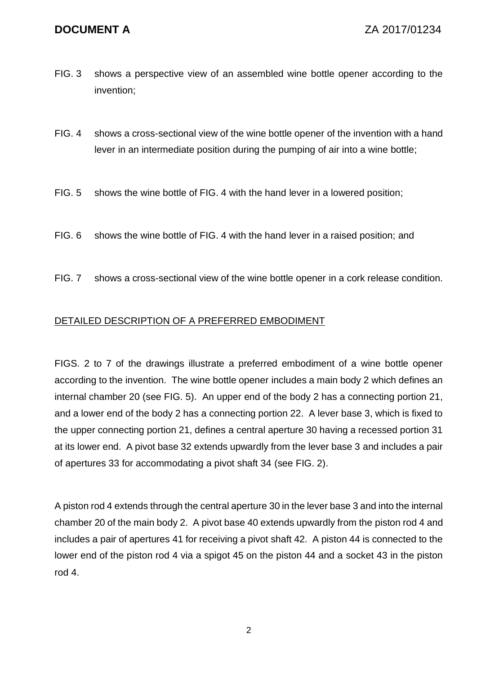- FIG. 3 shows a perspective view of an assembled wine bottle opener according to the invention;
- FIG. 4 shows a cross-sectional view of the wine bottle opener of the invention with a hand lever in an intermediate position during the pumping of air into a wine bottle;
- FIG. 5 shows the wine bottle of FIG. 4 with the hand lever in a lowered position;
- FIG. 6 shows the wine bottle of FIG. 4 with the hand lever in a raised position; and
- FIG. 7 shows a cross-sectional view of the wine bottle opener in a cork release condition.

## DETAILED DESCRIPTION OF A PREFERRED EMBODIMENT

FIGS. 2 to 7 of the drawings illustrate a preferred embodiment of a wine bottle opener according to the invention. The wine bottle opener includes a main body 2 which defines an internal chamber 20 (see FIG. 5). An upper end of the body 2 has a connecting portion 21, and a lower end of the body 2 has a connecting portion 22. A lever base 3, which is fixed to the upper connecting portion 21, defines a central aperture 30 having a recessed portion 31 at its lower end. A pivot base 32 extends upwardly from the lever base 3 and includes a pair of apertures 33 for accommodating a pivot shaft 34 (see FIG. 2).

A piston rod 4 extends through the central aperture 30 in the lever base 3 and into the internal chamber 20 of the main body 2. A pivot base 40 extends upwardly from the piston rod 4 and includes a pair of apertures 41 for receiving a pivot shaft 42. A piston 44 is connected to the lower end of the piston rod 4 via a spigot 45 on the piston 44 and a socket 43 in the piston rod 4.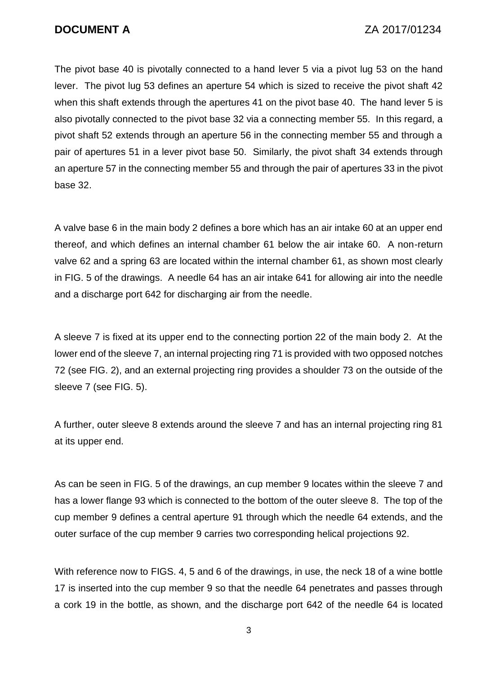The pivot base 40 is pivotally connected to a hand lever 5 via a pivot lug 53 on the hand lever. The pivot lug 53 defines an aperture 54 which is sized to receive the pivot shaft 42 when this shaft extends through the apertures 41 on the pivot base 40. The hand lever 5 is also pivotally connected to the pivot base 32 via a connecting member 55. In this regard, a pivot shaft 52 extends through an aperture 56 in the connecting member 55 and through a pair of apertures 51 in a lever pivot base 50. Similarly, the pivot shaft 34 extends through an aperture 57 in the connecting member 55 and through the pair of apertures 33 in the pivot base 32.

A valve base 6 in the main body 2 defines a bore which has an air intake 60 at an upper end thereof, and which defines an internal chamber 61 below the air intake 60. A non-return valve 62 and a spring 63 are located within the internal chamber 61, as shown most clearly in FIG. 5 of the drawings. A needle 64 has an air intake 641 for allowing air into the needle and a discharge port 642 for discharging air from the needle.

A sleeve 7 is fixed at its upper end to the connecting portion 22 of the main body 2. At the lower end of the sleeve 7, an internal projecting ring 71 is provided with two opposed notches 72 (see FIG. 2), and an external projecting ring provides a shoulder 73 on the outside of the sleeve 7 (see FIG. 5).

A further, outer sleeve 8 extends around the sleeve 7 and has an internal projecting ring 81 at its upper end.

As can be seen in FIG. 5 of the drawings, an cup member 9 locates within the sleeve 7 and has a lower flange 93 which is connected to the bottom of the outer sleeve 8. The top of the cup member 9 defines a central aperture 91 through which the needle 64 extends, and the outer surface of the cup member 9 carries two corresponding helical projections 92.

With reference now to FIGS. 4, 5 and 6 of the drawings, in use, the neck 18 of a wine bottle 17 is inserted into the cup member 9 so that the needle 64 penetrates and passes through a cork 19 in the bottle, as shown, and the discharge port 642 of the needle 64 is located

3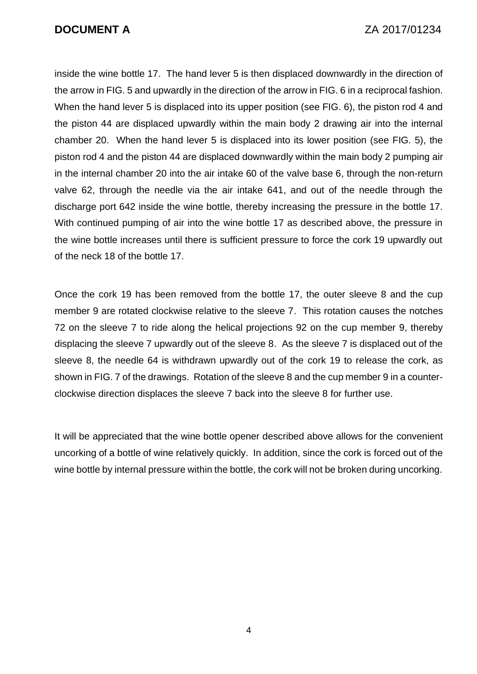inside the wine bottle 17. The hand lever 5 is then displaced downwardly in the direction of the arrow in FIG. 5 and upwardly in the direction of the arrow in FIG. 6 in a reciprocal fashion. When the hand lever 5 is displaced into its upper position (see FIG. 6), the piston rod 4 and the piston 44 are displaced upwardly within the main body 2 drawing air into the internal chamber 20. When the hand lever 5 is displaced into its lower position (see FIG. 5), the piston rod 4 and the piston 44 are displaced downwardly within the main body 2 pumping air in the internal chamber 20 into the air intake 60 of the valve base 6, through the non-return valve 62, through the needle via the air intake 641, and out of the needle through the discharge port 642 inside the wine bottle, thereby increasing the pressure in the bottle 17. With continued pumping of air into the wine bottle 17 as described above, the pressure in the wine bottle increases until there is sufficient pressure to force the cork 19 upwardly out of the neck 18 of the bottle 17.

Once the cork 19 has been removed from the bottle 17, the outer sleeve 8 and the cup member 9 are rotated clockwise relative to the sleeve 7. This rotation causes the notches 72 on the sleeve 7 to ride along the helical projections 92 on the cup member 9, thereby displacing the sleeve 7 upwardly out of the sleeve 8. As the sleeve 7 is displaced out of the sleeve 8, the needle 64 is withdrawn upwardly out of the cork 19 to release the cork, as shown in FIG. 7 of the drawings. Rotation of the sleeve 8 and the cup member 9 in a counterclockwise direction displaces the sleeve 7 back into the sleeve 8 for further use.

It will be appreciated that the wine bottle opener described above allows for the convenient uncorking of a bottle of wine relatively quickly. In addition, since the cork is forced out of the wine bottle by internal pressure within the bottle, the cork will not be broken during uncorking.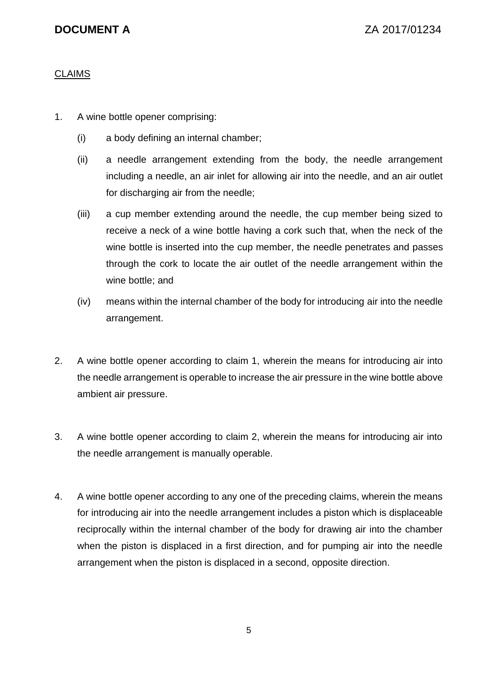# **CLAIMS**

- 1. A wine bottle opener comprising:
	- (i) a body defining an internal chamber;
	- (ii) a needle arrangement extending from the body, the needle arrangement including a needle, an air inlet for allowing air into the needle, and an air outlet for discharging air from the needle;
	- (iii) a cup member extending around the needle, the cup member being sized to receive a neck of a wine bottle having a cork such that, when the neck of the wine bottle is inserted into the cup member, the needle penetrates and passes through the cork to locate the air outlet of the needle arrangement within the wine bottle; and
	- (iv) means within the internal chamber of the body for introducing air into the needle arrangement.
- 2. A wine bottle opener according to claim 1, wherein the means for introducing air into the needle arrangement is operable to increase the air pressure in the wine bottle above ambient air pressure.
- 3. A wine bottle opener according to claim 2, wherein the means for introducing air into the needle arrangement is manually operable.
- 4. A wine bottle opener according to any one of the preceding claims, wherein the means for introducing air into the needle arrangement includes a piston which is displaceable reciprocally within the internal chamber of the body for drawing air into the chamber when the piston is displaced in a first direction, and for pumping air into the needle arrangement when the piston is displaced in a second, opposite direction.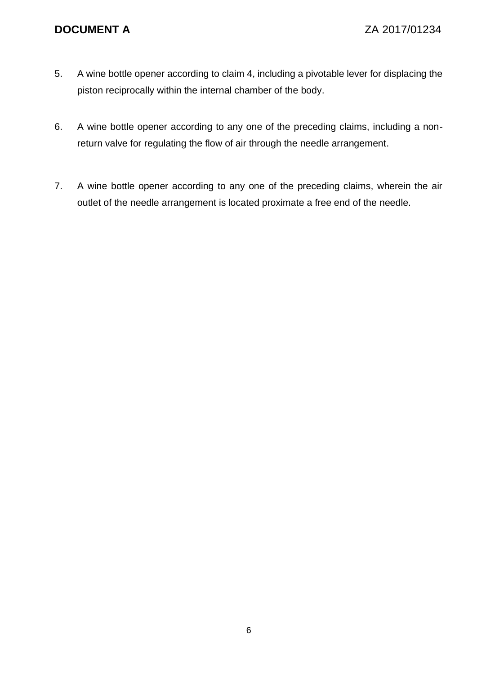- 5. A wine bottle opener according to claim 4, including a pivotable lever for displacing the piston reciprocally within the internal chamber of the body.
- 6. A wine bottle opener according to any one of the preceding claims, including a nonreturn valve for regulating the flow of air through the needle arrangement.
- 7. A wine bottle opener according to any one of the preceding claims, wherein the air outlet of the needle arrangement is located proximate a free end of the needle.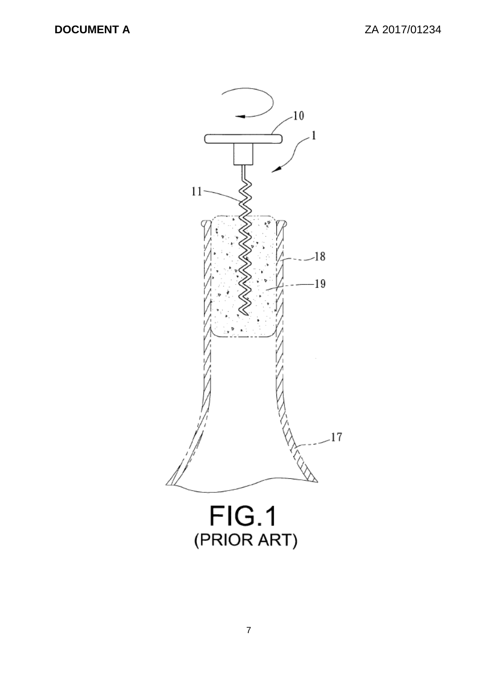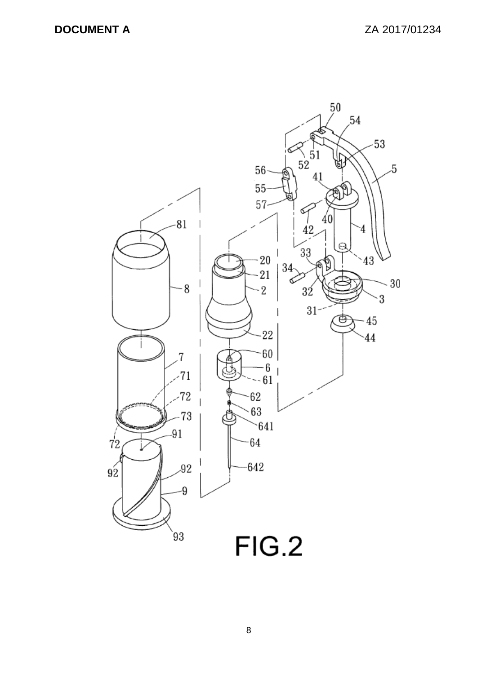

8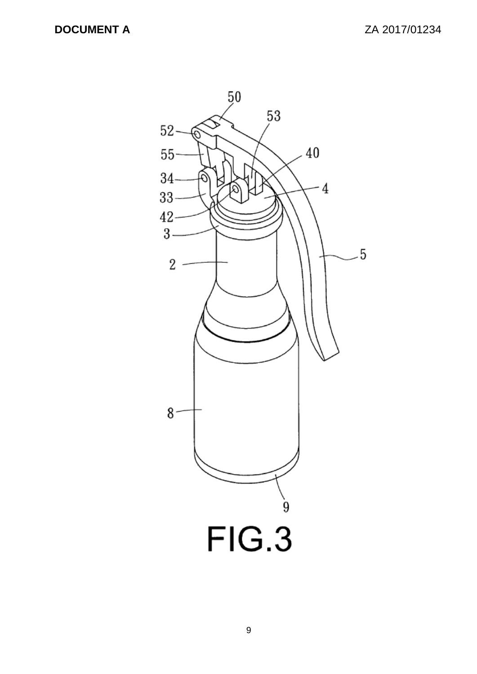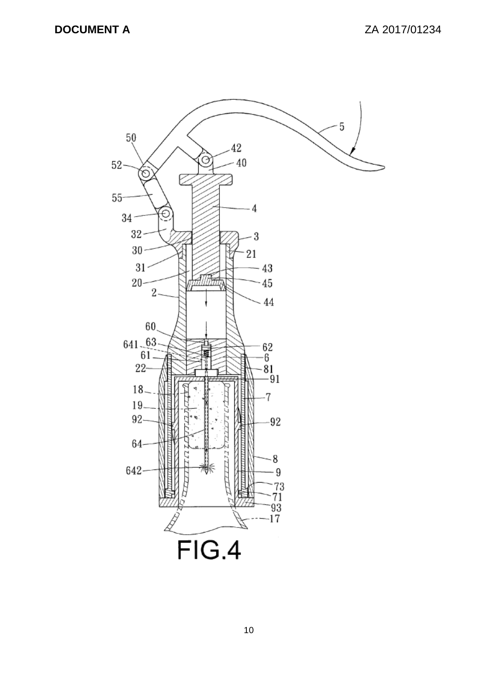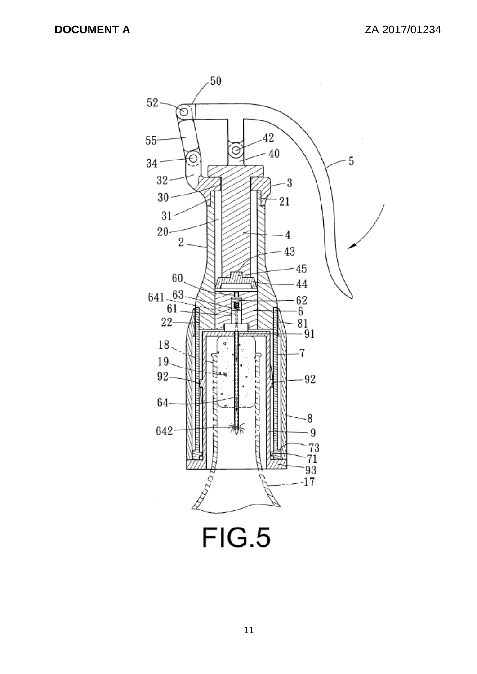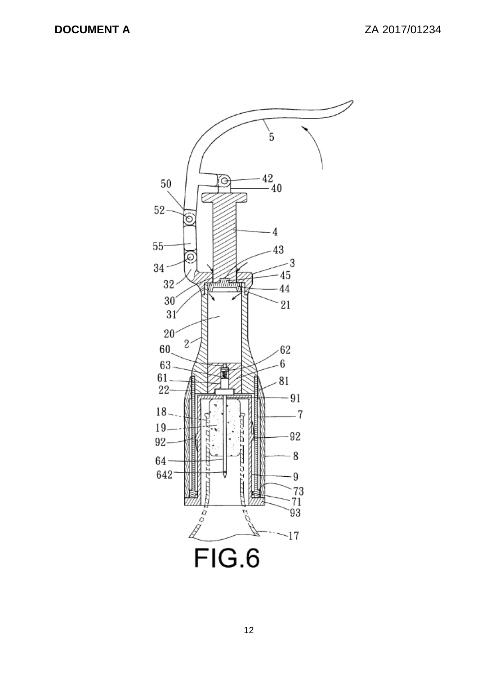